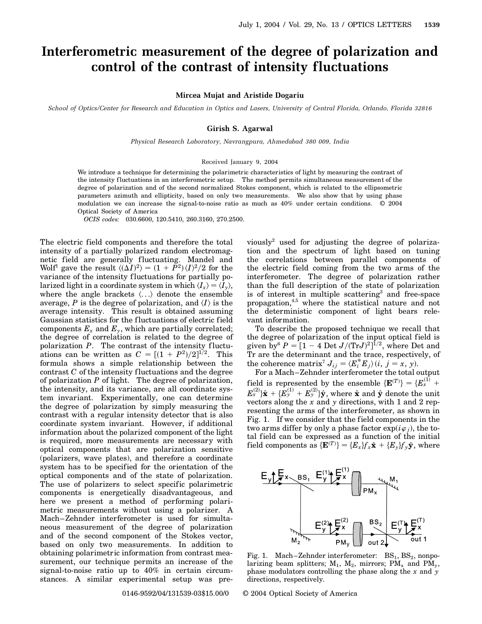## **Interferometric measurement of the degree of polarization and control of the contrast of intensity fluctuations**

**Mircea Mujat and Aristide Dogariu**

*School of Optics/Center for Research and Education in Optics and Lasers, University of Central Florida, Orlando, Florida 32816*

## **Girish S. Agarwal**

*Physical Research Laboratory, Navrangpura, Ahmedabad 380 009, India*

## Received January 9, 2004

We introduce a technique for determining the polarimetric characteristics of light by measuring the contrast of the intensity fluctuations in an interferometric setup. The method permits simultaneous measurement of the degree of polarization and of the second normalized Stokes component, which is related to the ellipsometric parameters azimuth and ellipticity, based on only two measurements. We also show that by using phase modulation we can increase the signal-to-noise ratio as much as 40% under certain conditions. © 2004 Optical Society of America

*OCIS codes:* 030.6600, 120.5410, 260.3160, 270.2500.

The electric field components and therefore the total intensity of a partially polarized random electromagnetic field are generally fluctuating. Mandel and Wolf<sup>1</sup> gave the result  $\langle (\Delta I)^2 \rangle = (1 + P^2) \langle I \rangle^2 / 2$  for the variance of the intensity f luctuations for partially polarized light in a coordinate system in which  $\langle I_x \rangle = \langle I_y \rangle$ , where the angle brackets  $\langle \ldots \rangle$  denote the ensemble average,  $P$  is the degree of polarization, and  $\langle I \rangle$  is the average intensity. This result is obtained assuming Gaussian statistics for the fluctuations of electric field components  $E_x$  and  $E_y$ , which are partially correlated; the degree of correlation is related to the degree of polarization  $P$ . The contrast of the intensity fluctuations can be written as  $C = \left[ (1 + P^2)/2 \right]^{1/2}$ . This formula shows a simple relationship between the contrast *C* of the intensity fluctuations and the degree of polarization *P* of light. The degree of polarization, the intensity, and its variance, are all coordinate system invariant. Experimentally, one can determine the degree of polarization by simply measuring the contrast with a regular intensity detector that is also coordinate system invariant. However, if additional information about the polarized component of the light is required, more measurements are necessary with optical components that are polarization sensitive (polarizers, wave plates), and therefore a coordinate system has to be specified for the orientation of the optical components and of the state of polarization. The use of polarizers to select specific polarimetric components is energetically disadvantageous, and here we present a method of performing polarimetric measurements without using a polarizer. A Mach–Zehnder interferometer is used for simultaneous measurement of the degree of polarization and of the second component of the Stokes vector, based on only two measurements. In addition to obtaining polarimetric information from contrast measurement, our technique permits an increase of the signal-to-noise ratio up to 40% in certain circumstances. A similar experimental setup was previously<sup>2</sup> used for adjusting the degree of polarization and the spectrum of light based on tuning the correlations between parallel components of the electric field coming from the two arms of the interferometer. The degree of polarization rather than the full description of the state of polarization is of interest in multiple scattering<sup>3</sup> and free-space propagation,4,5 where the statistical nature and not the deterministic component of light bears relevant information.

To describe the proposed technique we recall that the degree of polarization of the input optical field is given by  $P = [1 - 4 \text{ Det } J / (\text{Tr} J)^2]^{1/2}$ , where Det and Tr are the determinant and the trace, respectively, of the coherence matrix<sup>7</sup>  $J_{ij} = \langle E_i^* E_j \rangle (i, j = x, y)$ .

For a Mach–Zehnder interferometer the total output field is represented by the ensemble  $\{E^{(T)}\} = \{E_x^{(1)} +$  $E_x^{(2)}\} \hat{\mathbf{x}} + \{E_y^{(1)} + E_y^{(2)}\} \hat{\mathbf{y}},$  where  $\hat{\mathbf{x}}$  and  $\hat{\mathbf{y}}$  denote the unit vectors along the *x* and *y* directions, with 1 and 2 representing the arms of the interferometer, as shown in Fig. 1. If we consider that the field components in the two arms differ by only a phase factor  $\exp(i\varphi_j)$ , the total field can be expressed as a function of the initial  $\text{field components as } \{\mathbf{E}^{(T)}\} = \{E_x\}f_x\hat{\mathbf{x}} + \{E_y\}f_y\hat{\mathbf{y}}, \text{ where }$ 



Fig. 1. Mach–Zehnder interferometer:  $BS_1, BS_2,$  nonpolarizing beam splitters;  $M_1$ ,  $M_2$ , mirrors;  $PM_x$  and  $PM_y$ , phase modulators controlling the phase along the *x* and *y* directions, respectively.

0146-9592/04/131539-03\$15.00/0 © 2004 Optical Society of America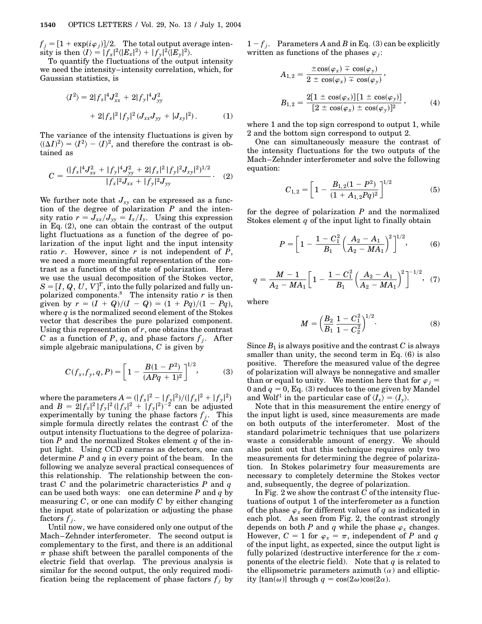$f_j = [1 + \exp(i\varphi_j)]/2$ . The total output average intensity is then  $\langle I \rangle = |f_x|^2 \langle |E_x|^2 \rangle + |f_y|^2 \langle |E_y|^2 \rangle$ .

To quantify the fluctuations of the output intensity we need the intensity–intensity correlation, which, for Gaussian statistics, is

$$
\langle I^2 \rangle = 2|f_x|^4 J_{xx}^2 + 2|f_y|^4 J_{yy}^2
$$
  
+ 2|f\_x|^2 |f\_y|^2 (J\_{xx}J\_{yy} + |J\_{xy}|^2). (1)

The variance of the intensity fluctuations is given by  $\langle (\Delta I)^2 \rangle = \langle I^2 \rangle - \langle I \rangle^2$ , and therefore the contrast is obtained as

$$
C = \frac{(|f_x|^4 J_{xx}^2 + |f_y|^4 J_{yy}^2 + 2|f_x|^2 |f_y|^2 J_{xy}|^2)^{1/2}}{|f_x|^2 J_{xx} + |f_y|^2 J_{yy}}.
$$
 (2)

We further note that  $J_{xy}$  can be expressed as a function of the degree of polarization *P* and the intensity ratio  $r = J_{xx}/J_{yy} = I_{x}/I_{y}$ . Using this expression in Eq. (2), one can obtain the contrast of the output light fluctuations as a function of the degree of polarization of the input light and the input intensity ratio *r*. However, since *r* is not independent of *P*, we need a more meaningful representation of the contrast as a function of the state of polarization. Here we use the usual decomposition of the Stokes vector,  $S = [I,\,Q,\,U,\,V]^T,$  into the fully polarized and fully unpolarized components.<sup>8</sup> The intensity ratio *r* is then<br>polarized components.<sup>8</sup> given by  $r = (I + Q)/(I - Q) = (1 + PQ)/(1 - PQ)$ , where  $q$  is the normalized second element of the Stokes vector that describes the pure polarized component. Using this representation of *r*, one obtains the contrast *C* as a function of *P*, *q*, and phase factors  $f_j$ . After simple algebraic manipulations, *C* is given by

$$
C(f_x, f_y, q, P) = \left[1 - \frac{B(1 - P^2)}{(APq + 1)^2}\right]^{1/2},\tag{3}
$$

where the parameters  $A = (|f_x|^2 - |f_y|^2)/(|f_x|^2 + |f_y|^2)$ and  $B = 2|f_x|^2 |f_y|^2 (|f_x|^2 + |f_y|^2)^{-2}$  can be adjusted experimentally by tuning the phase factors  $f_j$ . This simple formula directly relates the contrast  $\dot{C}$  of the output intensity fluctuations to the degree of polarization *P* and the normalized Stokes element *q* of the input light. Using CCD cameras as detectors, one can determine *P* and *q* in every point of the beam. In the following we analyze several practical consequences of this relationship. The relationship between the contrast *C* and the polarimetric characteristics *P* and *q* can be used both ways: one can determine *P* and *q* by measuring *C*, or one can modify *C* by either changing the input state of polarization or adjusting the phase factors  $f_i$ .

Until now, we have considered only one output of the Mach–Zehnder interferometer. The second output is complementary to the first, and there is an additional  $\pi$  phase shift between the parallel components of the electric field that overlap. The previous analysis is similar for the second output, the only required modification being the replacement of phase factors  $f_j$  by  $1 - f_j$ . Parameters *A* and *B* in Eq. (3) can be explicitly written as functions of the phases  $\varphi_i$ :

$$
A_{1,2} = \frac{\pm \cos(\varphi_x) \mp \cos(\varphi_y)}{2 \pm \cos(\varphi_x) \mp \cos(\varphi_y)},
$$
  
\n
$$
B_{1,2} = \frac{2[1 \pm \cos(\varphi_x)][1 \pm \cos(\varphi_y)]}{[2 \pm \cos(\varphi_x) \pm \cos(\varphi_y)]^2},
$$
\n(4)

where 1 and the top sign correspond to output 1, while 2 and the bottom sign correspond to output 2.

One can simultaneously measure the contrast of the intensity fluctuations for the two outputs of the Mach–Zehnder interferometer and solve the following equation:

$$
C_{1,2} = \left[1 - \frac{B_{1,2}(1 - P^2)}{(1 + A_{1,2}Pq)^2}\right]^{1/2}
$$
 (5)

for the degree of polarization *P* and the normalized Stokes element *q* of the input light to finally obtain

$$
P = \left[1 - \frac{1 - C_1^2}{B_1} \left(\frac{A_2 - A_1}{A_2 - MA_1}\right)^2\right]^{1/2},\tag{6}
$$

$$
q = \frac{M-1}{A_2 - MA_1} \bigg[ 1 - \frac{1 - C_1^2}{B_1} \bigg( \frac{A_2 - A_1}{A_2 - MA_1} \bigg)^2 \bigg]^{-1/2}, \tag{7}
$$

where

$$
M = \left(\frac{B_2}{B_1} \frac{1 - C_1^2}{1 - C_2^2}\right)^{1/2}.
$$
 (8)

Since  $B_1$  is always positive and the contrast  $C$  is always smaller than unity, the second term in Eq. (6) is also positive. Therefore the measured value of the degree of polarization will always be nonnegative and smaller than or equal to unity. We mention here that for  $\varphi_j =$ 0 and  $q = 0$ , Eq. (3) reduces to the one given by Mandel and Wolf<sup>1</sup> in the particular case of  $\langle I_x \rangle = \langle I_y \rangle$ .

Note that in this measurement the entire energy of the input light is used, since measurements are made on both outputs of the interferometer. Most of the standard polarimetric techniques that use polarizers waste a considerable amount of energy. We should also point out that this technique requires only two measurements for determining the degree of polarization. In Stokes polarimetry four measurements are necessary to completely determine the Stokes vector and, subsequently, the degree of polarization.

In Fig. 2 we show the contrast *C* of the intensity fluctuations of output 1 of the interferometer as a function of the phase  $\varphi_x$  for different values of *q* as indicated in each plot. As seen from Fig. 2, the contrast strongly depends on both *P* and *q* while the phase  $\varphi_x$  changes. However,  $C = 1$  for  $\varphi_x = \pi$ , independent of *P* and *q* of the input light, as expected, since the output light is fully polarized (destructive interference for the *x* components of the electric field). Note that *q* is related to the ellipsometric parameters azimuth  $(\alpha)$  and ellipticity  $[\tan(\omega)]$  through  $q = \cos(2\omega)\cos(2\alpha)$ .